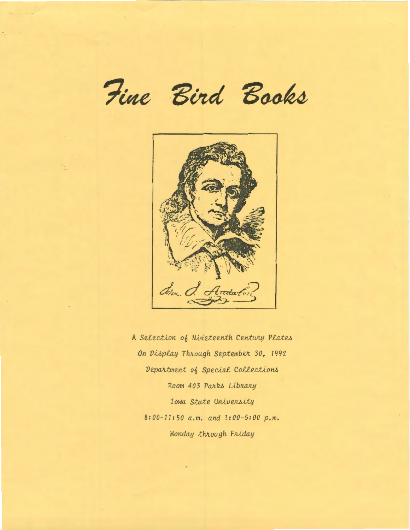Fine Bird Books



A Selection of Nineteenth Century Plates On Display Through September 30, 1992 Department of Special Collections Room 403 Parks Library Iowa State University 8:00-11:50 a.m. and 1:00-5:00 p.m. Monday through Friday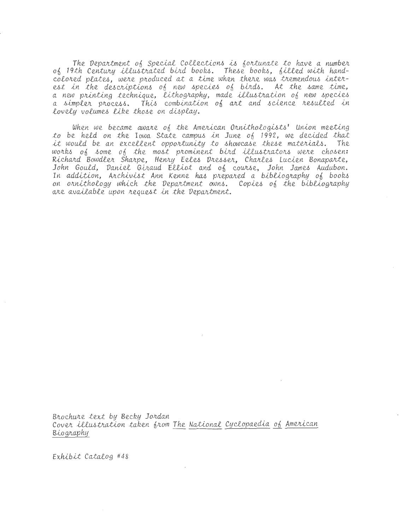The Department of Special Collections is fortunate to have a number of 19th Century illustrated bird books. These books, filled with handcolored plates, were produced at a time when there was tremendous interest in the descriptions of new species of birds. At the same time, a new printing technique, lithography, made illustration of new species<br>a simpler process. This combination of art and science resulted in lovely volumes like those on display.

When we became aware of the American Ornithologists' Union meeting to be held on the Iowa State campus in June of 1992, we decided that it would be an excellent opportunity to showcase these materials. The works of some of the most prominent bird illustrators were chosen:<br>Richard Bowdler Sharpe, Henry Eeles Dresser, Charles Lucien Bonaparte, John Gould, Daniel Giraud Elliot and of course, John James Audubon. In addition, Archivist Ann Kenne has prepared a bibliography of books on ornithology which the Department owns. Copies of the bibliography are available upon request in the Department.

Brochure text by Becky Jordan Cover illustration taken from The National Cyclopaedia of American Biography

Exhibit Catalog #48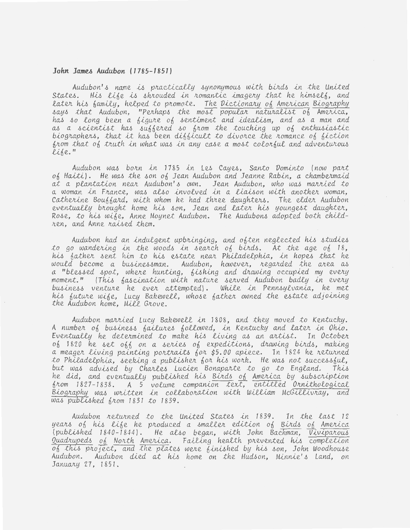#### John James Audubon (1785-1851)

Audubon's name is practically synonymous with birds in the United States. His life is shrouded in romantic imagery that he himself, and later his family, helped to promote. The Dictionary of American Biography says that Audubon, "Perhaps the most popular naturalist of America, has so long been a figure of sentiment and idealism, and as a man and<br>as a scientist has suffered so from the touching up of enthusiastic biographers, that it has been difficult to divorce the romance of fiction from that of truth in what was in any case a most colorful and adventurous life."

Audubon was born in 1785 in Les Cayes, Santo Dominto (now part  $of$  Haiti). He was the son  $of$  Jean Audubon and Jeanne Rabin, a chambermaid at a plantation near Audubon's own. Jean Audubon, who was married to<br>a woman in France, was also involved in a liaison with another woman, Catherine Bouffard, with whom he had three daughters. The elder Audubon eventually brought home his son, Jean and later his youngest daughter, Rose, to his wife, Anne Moynet Audubon. The Audubons adopted both children, and Anne raised them.

Audubon had an indulgent upbringing, and often neglected his studies to go wandering in the woods in search of birds. At the age of 18, his father sent him to his estate near Philadelphia, in hopes that he would become a businessman. Audubon, however, regarded the area as a "blessed spot, where hunting, fishing and drawing occupied my every<br>moment." (This fascination with nature served Audubon badly in every business venture he ever attempted). While in Pennsylvania, he met his future wife, Lucy Bakewell, whose father owned the estate adjoining the Audubon home, Mill Grove.

Audubon married Lucy Bakewell in 1808, and they moved to Kentucky. A number of business failures followed, in Kentucky and later in Ohio. Eventually he determined to make his living as an artist. In October of 1820 he set off on a series of expeditions, drawing birds, making a meager living painting portraits for \$5.00 apiece. In 1824 he returned to Philadelphia, seeking a publisher for his work. He was not successful, but was advised by Charles Lucien Bonaparte to go to England. This he did, and eventually published his Birds of America by subscription from 1827-1838. A 5 volume companion text, entitled Ornithological<br>Biography was written in collaboration with William McGillivray, and was published from 1831 to 1839.

Audubon returned to the United States in 1839. In the last 12 years of his life he produced a smaller edition of Birds of America (published 1840-1844). He also began, with John Bachman, Viviparous Quadrupeds of North America. Failing health prevented his completion of this project, and the plates were finished by his son, John Woodhouse Audubon. Audubon died at his home on the Hudson, Minnie's Land, on January 27, 1851.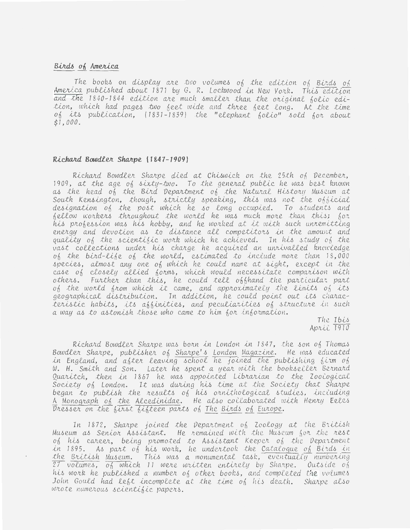## Birds of America

The books on display are two volumes of the edition of Birds of America published about 1871 by G. R. Lockwood in New York. This edition and the 1840-1844 edition are much smaller than the original folio edition, which had pages two feet wide and three feet long. At the time of its publication, (1831-1839) the "elephant folio" sold for about  $$1,000.$ 

### Richard Bowdler Sharpe (1847-1909)

Richard Bowdler Sharpe died at Chiswick on the 25th of December, 1909, at the age of sixty-two. To the general public he was best known as the head of the Bird Department of the Natural History Museum at South Kensington, though, strictly speaking, this was not the official designation of the post which he so long occupied. To students and<br>fellow workers throughout the world he was much more than this; for his profession was his hobby, and he worked at it with such unremitting energy and devotion as to distance all competitors in the amount and quality of the scientific work which he achieved. In his study of the vast collections under his charge he acquired an unrivalled knowledge of the bird-life of the world, estimated to include more than 18,000 species, almost any one of which he could name at sight, except in the case of closely allied forms, which would necessitate comparison with others. Further than this, he could tell offhand the particular part of the world from which it came, and approximately the limits of its geographical distribution. In addition, he could point out its characteristic habits, its affinities, and peculiarities of structure in such a way as to astonish those who came to him for information.

The Ibis April 1910

Richard Bowdler Sharpe was born in London in 1847, the son of Thomas Bowdler Sharpe, publisher of Sharpe's London Magazine. He was educated in England, and after leaving school he joined the publishing firm of W. H. Smith and Son. Later he spent a year with the bookseller Bernard Quaritch, then in 1867 he was appointed Librarian to the Zoological Society of London. It was during his time at the Society that Sharpe began to publish the results of his ornithological studies, including A Monograph of the Alcedinidae. He also collaborated with Henry Eeles Dresser on the first fifteen parts of The Birds of Europe.

In 1872, Sharpe joined the Department of Zoology at the British Museum as Senior Assistant. He remained with the Museum for the rest of his career, being promoted to Assistant Keeper of the Department in 1895. As part of his work, he undertook the Catalogue of Birds in the British Museum. This was a monumental task, eventually numbering 27 volumes, of which 11 were written entirely by Sharpe. Outside of his work he published a number of other books, and completed the volumes John Gould had left incomplete at the time of his death. Sharpe also wrote numerous scientific papers.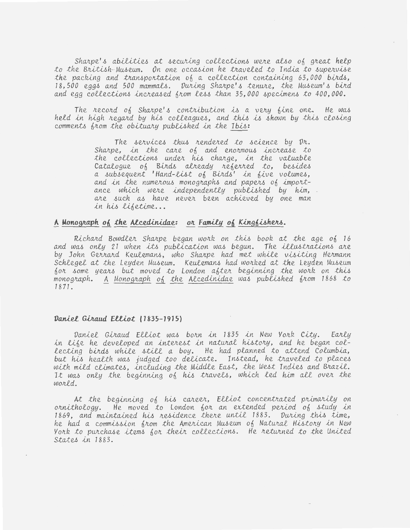Sharpe's abilities at securing collections were also of great help to the British Museum. On one occasion he traveled to India to supervise the packing and transportation of a collection containing 63,000 birds, 18,500 eggs and 500 mammals. During Sharpe's tenure, the Museum's bird and egg collections increased from less than 35,000 specimens to 400,000.

The record of Sharpe's contribution is a very fine one. He was held in high regard by his colleagues, and this is shown by this closing comments from the obituary published in the Ibis:

> The services thus rendered to science by Dr. Sharpe, in the care of and enormous increase to the collections under his charge, in the valuable Catalogue of Birds already referred to, besides<br>a subsequent 'Hand-list of Birds' in five volumes, and in the numerous monographs and papers of importance which were independently published by him, are such as have never been achieved by one man in his lifetime...

## A Monograph of the Alcedinidae: or Family of Kingfishers.

Richard Bowdler Sharpe began work on this book at the age of 16 and was only 21 when its publication was begun. The illustrations are by John Gerrard Keulemans, who Sharpe had met while visiting Hermann Schlegel at the Leyden Museum. Keulemans had worked at the Leyden Museum for some years but moved to London after beginning the work on this monograph. A Monograph of the Alcedinidae was published from 1868 to 1871.

### Daniel Giraud Elliot (1835-1915)

Daniel Giraud Elliot was born in 1835 in New York City. Early in life he developed an interest in natural history, and he began collecting birds while still a boy. He had planned to attend Columbia, but his health was judged too delicate. Instead, he traveled to places with mild climates, including the Middle East, the West Indies and Brazil. It was only the beginning of his travels, which led him all over the world.

At the beginning of his career, Elliot concentrated primarily on ornithology. He moved to London for an extended period of study in 1869, and maintained his residence there until 1883. During this time, he had a commission from the American Museum of Natural History in New York to purchase items for their collections. He returned to the united States in 1883.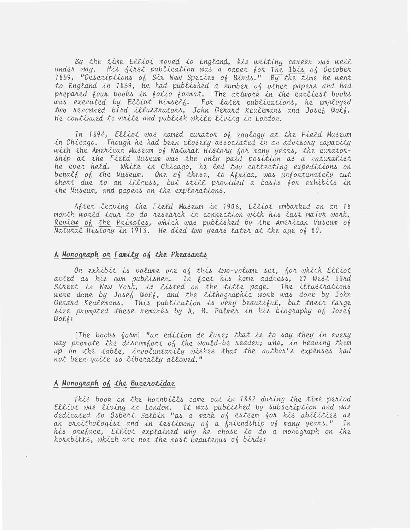By the time Elliot moved to England, his writing career was well under way. His first publication was a paper for The Ibis of October 1859, "Descriptions of Six New Species of Birds." By the time he went to England in 1869, he had published a number of other papers and had prepared four books in folio format. The artwork in the earliest books was executed by Elliot himself. For later publications, he employed two renowned bird illustrators, John Gerard Keulemans and Josef Wolf. He continued to write and publish while living in London.

In 1894, Elliot was named curator of zoology at the Field Museum in Chicago. Though he had been closely associated in an advisory capacity with the American Museum of Natural History for many years, the curatorship at the Field Museum was the only paid position as a naturalist<br>he ever held. While in Chicago, he led two collecting expeditions on behalf of the Museum. One of these, to Africa, was unfortunately cut short due to an illness, but still provided a basis for exhibits in the Museum, and papers on the explorations.

After leaving the Field Museum in 1906, Elliot embarked on an 18 month world tour to do research in connection with his last major work, Review of the Primates, which was published by the American Museum of Natural History in 1913. He died two years later at the age of 80.

# A Monograph or Family of the Pheasants

On exhibit is volume one of this two-volume set, for which Elliot acted as his own publisher. In fact his home address, 27 West 33rd Street in New York, is listed on the title page. The illustrations were done by Josef Wolf, and the lithographic work was done by John Gerard Keulemans. This publication is very beautiful, but their large size prompted these remarks by A. H. Palmer in his biography of Josef WOLK:

[The books form] "an edition de luxe; that is to say they in every way promote the discomfort of the would-be reader; who, in heaving them up on the table, involuntarily wishes that the author's expenses had not been quite so liberally allowed."

### A Monograph of the Bucerotidae

This book on the hornbills came out in 1882 during the time period Elliot was living in London. It was published by subscription and was dedicated to Osbert Salbin "as a mark of esteem for his abilities as an ornithologist and in testimony of a friendship of many years." In his preface, Elliot explained why he chose to do a monograph on the hornbills, which are not the most beauteous of birds: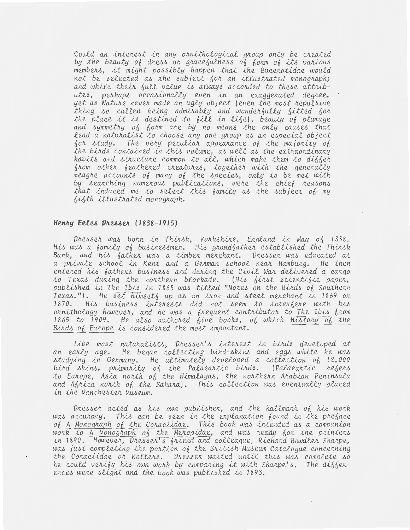Could an interest in any ornithological group only be created by the beauty of dress or gracefulness of form of its various members, it might possibly happen that the Bucerotidae would not be selected as the subject for an illustrated monograph; and while their full value is always accorded to these attributes, perhaps occasionally even in an exaggerated degree, yet as Nature never made an ugly object (even the most repulsive thing so called being admirably and wonderfully fitted for the place it is destined to fill in life), beauty of plumage and symmetry of form are by no means the only causes that lead a naturalist to choose any one group as an especial object for study. The very peculiar appearance of the majority of the birds contained in this volume, as well as the extraordinary habits and structure common to all, which make them to differ from other feathered creatures, together with the generally meagre accounts of many of the species, only to be met with by searching numerous publications, were the chief reasons that induced me to select this family as the subject of my bifth illustrated monograph.

#### Henry Eeles Dresser (1838-1915)

Dresser was born in Thirsk, Yorkshire, England in May of 1838. His was a family of businessmen. His grandfather established the Thirsk Bank, and his father was a timber merchant. Dresser was educated at a private school in Kent and a German school near Hamburg. He then entered his fathers business and during the Civil War delivered a cargo to Texas during the northern blockade. (His first scientific paper, published in The Ibis in 1865 was titled "Notes on the Birds of Southern Texas."). He set himself up as an iron and steel merchant in 1869 or 1870. His business interests did not seem to interfere with his ornithology however, and he was a frequent contributor to The Ibis from 1865 to 1909. He also authored five books, of which History of the Birds of Europe is considered the most important.

Like most naturalists, Dresser's interest in birds developed at an early age. He began collecting bird-skins and eggs while he was studying in Germany. He ultimately developed a collection of 12,000 bird skins, primarily of the Palaeartic birds. (Palaeartic refers to Europe, Asia north of the Himalayas, the northern Arabian Peninsula and Africa north of the Sahara). This collection was eventually placed in the Manchester Museum.

Dresser acted as his own publisher, and the hallmark of his work was accuracy. This can be seen in the explanation found in the preface of A Monograph of the Coraciidae. This book was intended as a companion work to A Monograph of the Meropidae, and was ready for the printers in 1890. However, Dresser's friend and colleague, Richard Bowdler Sharpe, was just completing the portion of the British Museum Catalogue concerning the Coraciidae or Rollers. Dresser waited until this was complete so he could verify his own work by comparing it with Sharpe's. The differences were slight and the book was published in 1893.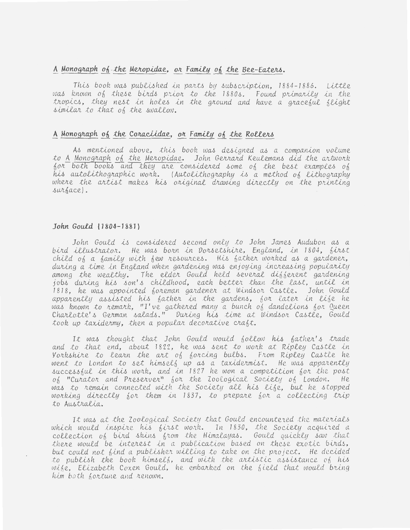## A Monograph of the Meropidae, or Family of the Bee-Eaters.

This book was published in parts by subscription, 1884-1886. Little was known of these birds prior to the 1880s. Found primarily in the tropics, they nest in holes in the ground and have a graceful flight similar to that of the swallow.

# A Monograph of the Coraciidae, or Family of the Rollers

As mentioned above, this book was designed as a companion volume to A Monograph of the Meropidae. John Gerrard Keulemans did the artwork for both books and they are considered some of the best examples of his autolithographic work. (Autolithography is a method of lithography where the artist makes his original drawing directly on the printing surface).

#### John Gould (1804-1881)

John Gould is considered second only to John James Audubon as a bird illustrator. He was born in Dorsetshire, England, in 1804, first child of a family with few resources. His father worked as a gardener, during a time in England when gardening was enjoying increasing popularity among the wealthy. The elder Gould held several different gardening jobs during his son's childhood, each better than the last, until in 1818, he was appointed foreman gardener at Windsor Castle. John Gould apparently assisted his father in the gardens, for later in life he was known to remark. "I've gathered many a bunch of dandelions for Queen Charlotte's German salads." During his time at Windsor Castle, Gould took up taxidermy, then a popular decorative craft.

It was thought that John Gould would follow his father's trade and to that end, about 1822, he was sent to work at Ripley Castle in Vorkshire to learn the art of forcing bulbs. From Ripley Castle he went to London to set himself up as a taxidermist. He was apparently successful in this work, and in 1827 he won a competition for the post of "Curator and Preserver" for the Zoological Society of London. He was to remain connected with the Society all his life, but he stopped working directly for them in 1837, to prepare for a collecting trip to Australia.

It was at the Zoological Society that Gould encountered the materials which would inspire his first work. In 1830, the Society acquired a collection of bird skins from the Himalayas. Gould quickly saw that there would be interest in a publication based on these exotic birds, but could not find a publisher willing to take on the project. He decided to publish the book himself, and with the artistic assistance of his wike, Elizabeth Coxen Gould, he embarked on the field that would bring him both fortune and renown.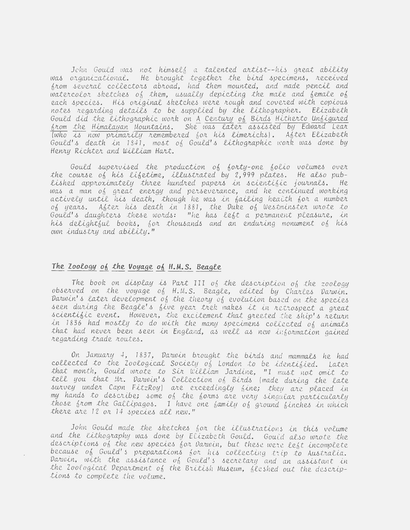John Gould was not himself a talented artist--his great ability was organizational. He brought together the bird specimens, received from several collectors abroad, had them mounted, and made pencil and watercolor sketches of them, usually depicting the male and female of each species. His original sketches were rough and covered with copious notes regarding details to be supplied by the lithographer. Elizabeth Gould did the lithographic work on A Century of Birds Hitherto Unfigured from the Himalayan Mountains. She was later assisted by Edward Lear Twho is now primarily remembered for his limericks). After Elizabeth Gould's death in 1841, most of Gould's lithographic work was done by Henry Richter and William Hart.

Gould supervised the production of forty-one folio volumes over the course of his lifetime, illustrated by 2,999 plates. He also published approximately three hundred papers in scientific journals. He<br>was a man of great energy and perseverance, and he continued working actively until his death, though he was in failing health for a number of years. After his death in 1881, the Duke of Westminster wrote to Gould's daughters these words: "he has left a permanent pleasure, in his delightful books, for thousands and an enduring monument of his own industry and ability."

# The Zoology of the Voyage of H.M.S. Beagle

The book on display is Part III of the description of the zoology observed on the voyage of H.M.S. Beagle, edited by Charles Darwin. Darwin's later development of the theory of evolution based on the species seen during the Beagle's five year trek makes it in retrospect a great scientific event. However, the excitement that greeted the ship's return in 1836 had mostly to do with the many specimens collected of animals that had never been seen in England, as well as new information gained regarding trade routes.

On January 4, 1837, Darwin brought the birds and mammals he had collected to the Zoological Society of London to be identified. Later that month, Gould wrote to Sir William Jardine, "I must not omit to tell you that Mr. Darwin's Collection of Birds (made during the late survey under Capn FitzRoy) are exceedingly fine; they are placed in my hands to describe; some of the forms are very singular particularly those from the Gallipagos. I have one family of ground finches in which there are 12 or 14 species all new."

John Gould made the sketches for the illustrations in this volume and the lithography was done by Elizabeth Gould. Gould also wrote the descriptions of the new species for Darwin, but these were left incomplete because of Gould's preparations for his collecting trip to Australia.<br>Darwin, with the assistance of Gould's secretary and an assistant in the Zoological Department of the British Museum, fleshed out the descriptions to complete the volume.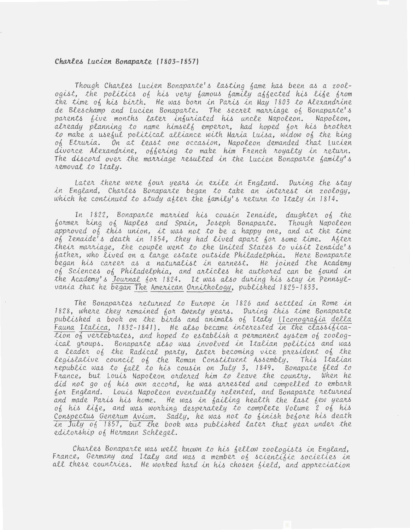#### Charles Lucien Bonaparte (1803-1857)

Though Charles Lucien Bonaparte's lasting fame has been as a zoologist, the politics of his very famous family affected his life from the time of his birth. He was born in Paris in May 1803 to Alexandrine de Bleschamp and Lucien Bonaparte. The secret marriage of Bonaparte's parents five months later infuriated his uncle Napoleon. Napoleon, already planning to name himself emperor, had hoped for his brother to make a useful political alliance with Maria Luisa, widow of the king of Etruria. On at least one occasion, Napoleon demanded that Lucien divorce Alexandrine, offering to make him French royalty in return. The discord over the marriage resulted in the Lucien Bonaparte family's removal to Italy.

Later there were four years in exile in England. During the stay in England, Charles Bonaparte began to take an interest in zoology, which he continued to study after the family's return to Italy in 1814.

In 1822, Bonaparte married his cousin Zenaide, daughter of the former king of Naples and Spain, Joseph Bonaparte. Though Napoleon approved of this union, it was not to be a happy one, and at the time of Zenaide's death in 1854, they had lived apart for some time. After their marriage, the couple went to the United States to visit Zenaide's father, who lived on a large estate outside Philadelphia. Here Bonaparte began his career as a naturalist in earnest. He joined the Academy of Sciences of Philadelphia, and articles he authored can be found in the Academy's Journal for 1824. It was also during his stay in Pennsylvania that he began The American Ornithology, published 1825-1833.

The Bonapartes returned to Europe in 1826 and settled in Rome in 1828, where they remained for twenty years. During this time Bonaparte published a book on the birds and animals of Italy (Iconografia della Fauna Italica, 1832-1841). He also became interested in the classifica- $\overline{tion}$  of vertebrates, and hoped to establish a permanent system of zoological groups. Bonaparte also was involved in Italian politics and was a leader of the Radical party, later becoming vice president of the legislative council of the Roman Constituent Assembly. This Italian republic was to fall to his cousin on July 3, 1849. Bonapate fled to France, but Louis Napoleon ordered him to leave the country. When he did not go of his own accord, he was arrested and compelled to embark for England. Louis Napoleon eventually relented, and Bonaparte returned and made Paris his home. He was in failing health the last few years of his life, and was working desperately to complete Volume 2 of his Conspectus Generum Avium. Sadly, he was not to finish before his death in July  $0\sqrt{1857}$ , but the book was published later that year under the editorship of Hermann Schlegel.

Charles Bonaparte was well known to his fellow zoologists in England, France, Germany and Italy and was a member of scientific societies in all these countries. He worked hard in his chosen field, and appreciation